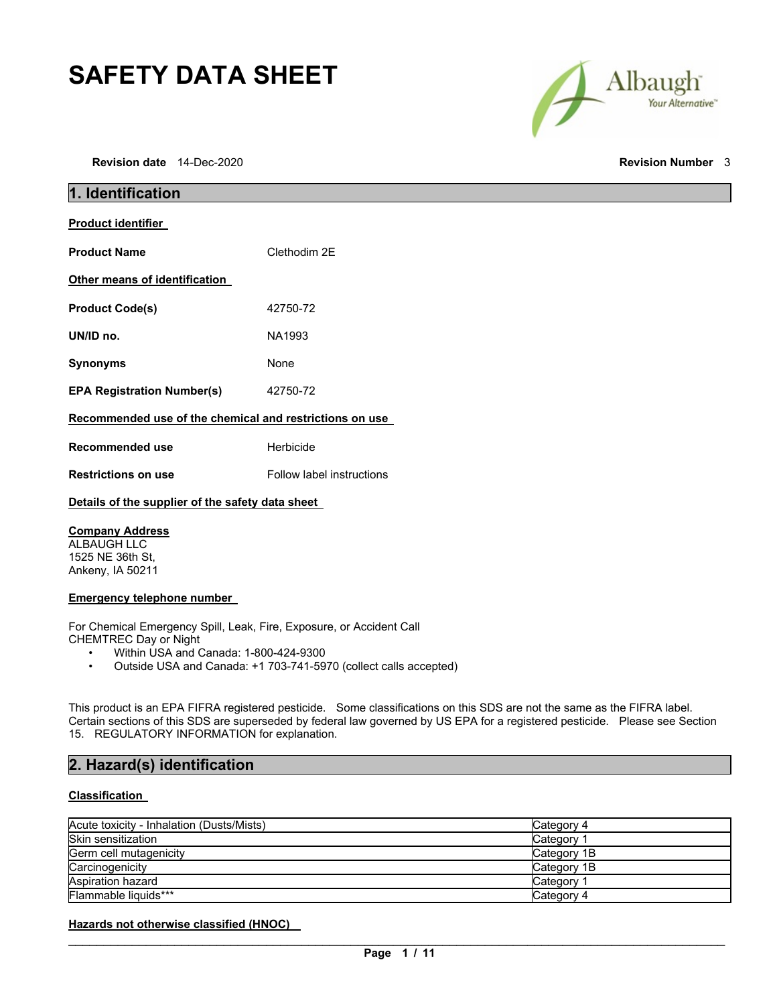# **SAFETY DATA SHEET**

**Revision date** 14-Dec-2020 **Revision Number** 3



| 1. Identification                                       |                           |  |
|---------------------------------------------------------|---------------------------|--|
| <b>Product identifier</b>                               |                           |  |
| <b>Product Name</b>                                     | Clethodim 2E              |  |
| Other means of identification                           |                           |  |
| <b>Product Code(s)</b>                                  | 42750-72                  |  |
| UN/ID no.                                               | NA1993                    |  |
| <b>Synonyms</b>                                         | None                      |  |
| <b>EPA Registration Number(s)</b>                       | 42750-72                  |  |
| Recommended use of the chemical and restrictions on use |                           |  |
| <b>Recommended use</b>                                  | Herbicide                 |  |
| <b>Restrictions on use</b>                              | Follow label instructions |  |
| Details of the supplier of the safety data sheet        |                           |  |

## **Company Address**

ALBAUGH LLC 1525 NE 36th St, Ankeny, IA 50211

### **Emergency telephone number**

For Chemical Emergency Spill, Leak, Fire, Exposure, or Accident Call CHEMTREC Day or Night

- Within USA and Canada: 1-800-424-9300<br>• Outside USA and Canada: +1.703-741-59
- Outside USA and Canada: +1 703-741-5970 (collect calls accepted)

This product is an EPA FIFRA registered pesticide. Some classifications on this SDS are not the same as the FIFRA label. Certain sections of this SDS are superseded by federal law governed by US EPA for a registered pesticide. Please see Section 15. REGULATORY INFORMATION for explanation.

## **2. Hazard(s) identification**

## **Classification**

| Acute toxicity - Inhalation (Dusts/Mists) | Category 4  |
|-------------------------------------------|-------------|
| Skin sensitization                        | Category    |
| Germ cell mutagenicity                    | Category 1B |
| Carcinogenicity                           | Category 1B |
| Aspiration hazard                         | Category    |
| Flammable liquids***                      | Category 4  |

**Hazards not otherwise classified (HNOC)**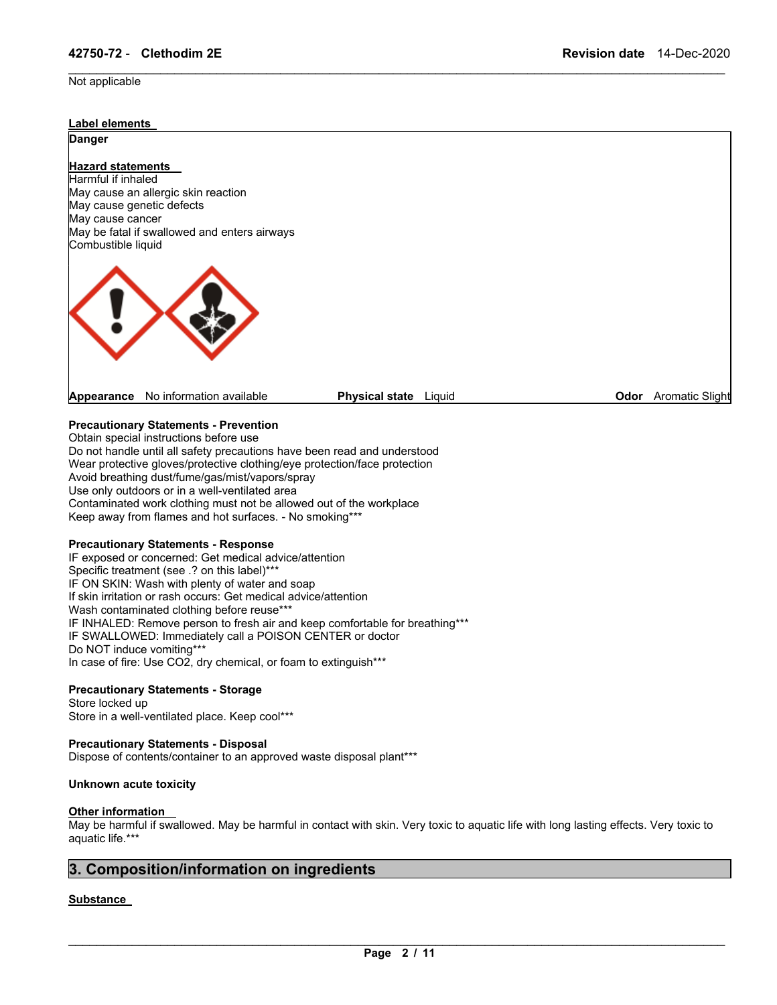### Not applicable



\_\_\_\_\_\_\_\_\_\_\_\_\_\_\_\_\_\_\_\_\_\_\_\_\_\_\_\_\_\_\_\_\_\_\_\_\_\_\_\_\_\_\_\_\_\_\_\_\_\_\_\_\_\_\_\_\_\_\_\_\_\_\_\_\_\_\_\_\_\_\_\_\_\_\_\_\_\_\_\_\_\_\_\_\_\_\_\_\_\_\_\_\_

## **Precautionary Statements - Prevention**

Obtain special instructions before use Do not handle until all safety precautions have been read and understood Wear protective gloves/protective clothing/eye protection/face protection Avoid breathing dust/fume/gas/mist/vapors/spray Use only outdoors or in a well-ventilated area Contaminated work clothing must not be allowed out of the workplace Keep away from flames and hot surfaces. - No smoking\*\*\*

## **Precautionary Statements - Response**

IF exposed or concerned: Get medical advice/attention Specific treatment (see .? on this label)\*\*\* IF ON SKIN: Wash with plenty of water and soap If skin irritation or rash occurs: Get medical advice/attention Wash contaminated clothing before reuse\*\*\* IF INHALED: Remove person to fresh air and keep comfortable for breathing\*\*\* IF SWALLOWED: Immediately call a POISON CENTER or doctor Do NOT induce vomiting\*\*\* In case of fire: Use CO2, dry chemical, or foam to extinguish\*\*\*

#### **Precautionary Statements - Storage**

Store locked up Store in a well-ventilated place. Keep cool\*\*\*

## **Precautionary Statements - Disposal**

Dispose of contents/container to an approved waste disposal plant\*\*\*

## **Unknown acute toxicity**

#### **Other information**

May be harmful if swallowed. May be harmful in contact with skin. Very toxic to aquatic life with long lasting effects. Very toxic to aquatic life.\*\*\*

## **3. Composition/information on ingredients**

## **Substance**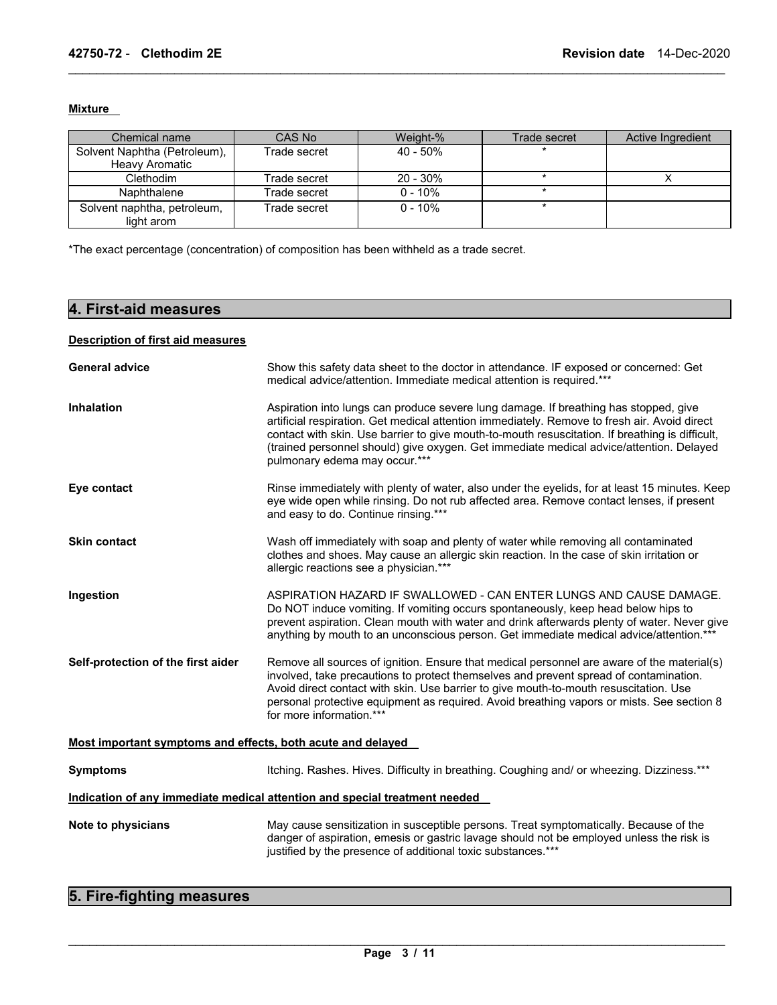## **Mixture**

| Chemical name                                         | CAS No       | Weight-%   | Trade secret | Active Ingredient |
|-------------------------------------------------------|--------------|------------|--------------|-------------------|
| Solvent Naphtha (Petroleum),<br><b>Heavy Aromatic</b> | Trade secret | 40 - 50%   |              |                   |
| Clethodim                                             | Trade secret | 20 - 30%   |              |                   |
| Naphthalene                                           | Trade secret | $0 - 10%$  |              |                   |
| Solvent naphtha, petroleum,<br>light arom             | Trade secret | $0 - 10\%$ |              |                   |

\_\_\_\_\_\_\_\_\_\_\_\_\_\_\_\_\_\_\_\_\_\_\_\_\_\_\_\_\_\_\_\_\_\_\_\_\_\_\_\_\_\_\_\_\_\_\_\_\_\_\_\_\_\_\_\_\_\_\_\_\_\_\_\_\_\_\_\_\_\_\_\_\_\_\_\_\_\_\_\_\_\_\_\_\_\_\_\_\_\_\_\_\_

\*The exact percentage (concentration) of composition has been withheld as a trade secret.

## **4. First-aid measures**

## **Description of first aid measures**

| <b>General advice</b>                                       | Show this safety data sheet to the doctor in attendance. IF exposed or concerned: Get<br>medical advice/attention. Immediate medical attention is required.***                                                                                                                                                                                                                                                      |
|-------------------------------------------------------------|---------------------------------------------------------------------------------------------------------------------------------------------------------------------------------------------------------------------------------------------------------------------------------------------------------------------------------------------------------------------------------------------------------------------|
| <b>Inhalation</b>                                           | Aspiration into lungs can produce severe lung damage. If breathing has stopped, give<br>artificial respiration. Get medical attention immediately. Remove to fresh air. Avoid direct<br>contact with skin. Use barrier to give mouth-to-mouth resuscitation. If breathing is difficult,<br>(trained personnel should) give oxygen. Get immediate medical advice/attention. Delayed<br>pulmonary edema may occur.*** |
| Eye contact                                                 | Rinse immediately with plenty of water, also under the eyelids, for at least 15 minutes. Keep<br>eye wide open while rinsing. Do not rub affected area. Remove contact lenses, if present<br>and easy to do. Continue rinsing.***                                                                                                                                                                                   |
| <b>Skin contact</b>                                         | Wash off immediately with soap and plenty of water while removing all contaminated<br>clothes and shoes. May cause an allergic skin reaction. In the case of skin irritation or<br>allergic reactions see a physician.***                                                                                                                                                                                           |
| Ingestion                                                   | ASPIRATION HAZARD IF SWALLOWED - CAN ENTER LUNGS AND CAUSE DAMAGE.<br>Do NOT induce vomiting. If vomiting occurs spontaneously, keep head below hips to<br>prevent aspiration. Clean mouth with water and drink afterwards plenty of water. Never give<br>anything by mouth to an unconscious person. Get immediate medical advice/attention.***                                                                    |
| Self-protection of the first aider                          | Remove all sources of ignition. Ensure that medical personnel are aware of the material(s)<br>involved, take precautions to protect themselves and prevent spread of contamination.<br>Avoid direct contact with skin. Use barrier to give mouth-to-mouth resuscitation. Use<br>personal protective equipment as required. Avoid breathing vapors or mists. See section 8<br>for more information.***               |
| Most important symptoms and effects, both acute and delayed |                                                                                                                                                                                                                                                                                                                                                                                                                     |
| <b>Symptoms</b>                                             | Itching. Rashes. Hives. Difficulty in breathing. Coughing and/ or wheezing. Dizziness.***                                                                                                                                                                                                                                                                                                                           |
|                                                             | Indication of any immediate medical attention and special treatment needed                                                                                                                                                                                                                                                                                                                                          |
| Note to physicians                                          | May cause sensitization in susceptible persons. Treat symptomatically. Because of the<br>danger of aspiration, emesis or gastric lavage should not be employed unless the risk is<br>justified by the presence of additional toxic substances.***                                                                                                                                                                   |

## **5. Fire-fighting measures**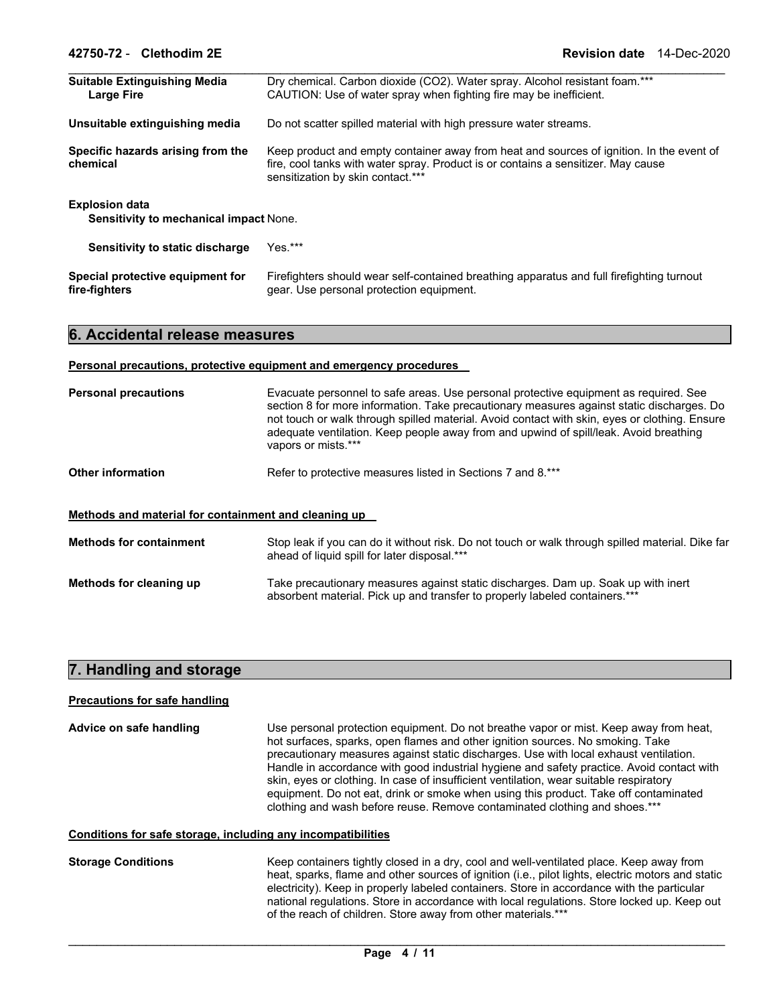| <b>Suitable Extinguishing Media</b><br><b>Large Fire</b>               | Dry chemical. Carbon dioxide (CO2). Water spray. Alcohol resistant foam.***<br>CAUTION: Use of water spray when fighting fire may be inefficient.                                                                  |  |
|------------------------------------------------------------------------|--------------------------------------------------------------------------------------------------------------------------------------------------------------------------------------------------------------------|--|
| Unsuitable extinguishing media                                         | Do not scatter spilled material with high pressure water streams.                                                                                                                                                  |  |
| Specific hazards arising from the<br>chemical                          | Keep product and empty container away from heat and sources of ignition. In the event of<br>fire, cool tanks with water spray. Product is or contains a sensitizer. May cause<br>sensitization by skin contact.*** |  |
| <b>Explosion data</b><br><b>Sensitivity to mechanical impact None.</b> |                                                                                                                                                                                                                    |  |
| Sensitivity to static discharge                                        | $Yes.***$                                                                                                                                                                                                          |  |
| Special protective equipment for<br>fire-fighters                      | Firefighters should wear self-contained breathing apparatus and full firefighting turnout<br>gear. Use personal protection equipment.                                                                              |  |

## **6. Accidental release measures**

#### **Personal precautions, protective equipment and emergency procedures**

| <b>Personal precautions</b>                          | Evacuate personnel to safe areas. Use personal protective equipment as required. See<br>section 8 for more information. Take precautionary measures against static discharges. Do<br>not touch or walk through spilled material. Avoid contact with skin, eyes or clothing. Ensure<br>adequate ventilation. Keep people away from and upwind of spill/leak. Avoid breathing<br>vapors or mists.*** |  |
|------------------------------------------------------|----------------------------------------------------------------------------------------------------------------------------------------------------------------------------------------------------------------------------------------------------------------------------------------------------------------------------------------------------------------------------------------------------|--|
| <b>Other information</b>                             | Refer to protective measures listed in Sections 7 and 8.***                                                                                                                                                                                                                                                                                                                                        |  |
| Methods and material for containment and cleaning up |                                                                                                                                                                                                                                                                                                                                                                                                    |  |
| <b>Methods for containment</b>                       | Stop leak if you can do it without risk. Do not touch or walk through spilled material. Dike far<br>ahead of liquid spill for later disposal.***                                                                                                                                                                                                                                                   |  |
| Methods for cleaning up                              | Take precautionary measures against static discharges. Dam up. Soak up with inert<br>absorbent material. Pick up and transfer to properly labeled containers.***                                                                                                                                                                                                                                   |  |

## **7. Handling and storage**

#### **Precautions for safe handling**

**Advice on safe handling** Use personal protection equipment. Do not breathe vapor or mist. Keep away from heat, hot surfaces, sparks, open flames and other ignition sources. No smoking. Take precautionary measures against static discharges. Use with local exhaust ventilation. Handle in accordance with good industrial hygiene and safety practice. Avoid contact with skin, eyes or clothing. In case of insufficient ventilation, wear suitable respiratory equipment. Do not eat, drink or smoke when using this product. Take off contaminated clothing and wash before reuse. Remove contaminated clothing and shoes.\*\*\*

#### **Conditions for safe storage, including any incompatibilities**

**Storage Conditions** Keep containers tightly closed in a dry, cool and well-ventilated place. Keep away from heat, sparks, flame and other sources of ignition (i.e., pilot lights, electric motors and static electricity). Keep in properly labeled containers. Store in accordance with the particular national regulations. Store in accordance with local regulations. Store locked up. Keep out of the reach of children. Store away from other materials.\*\*\*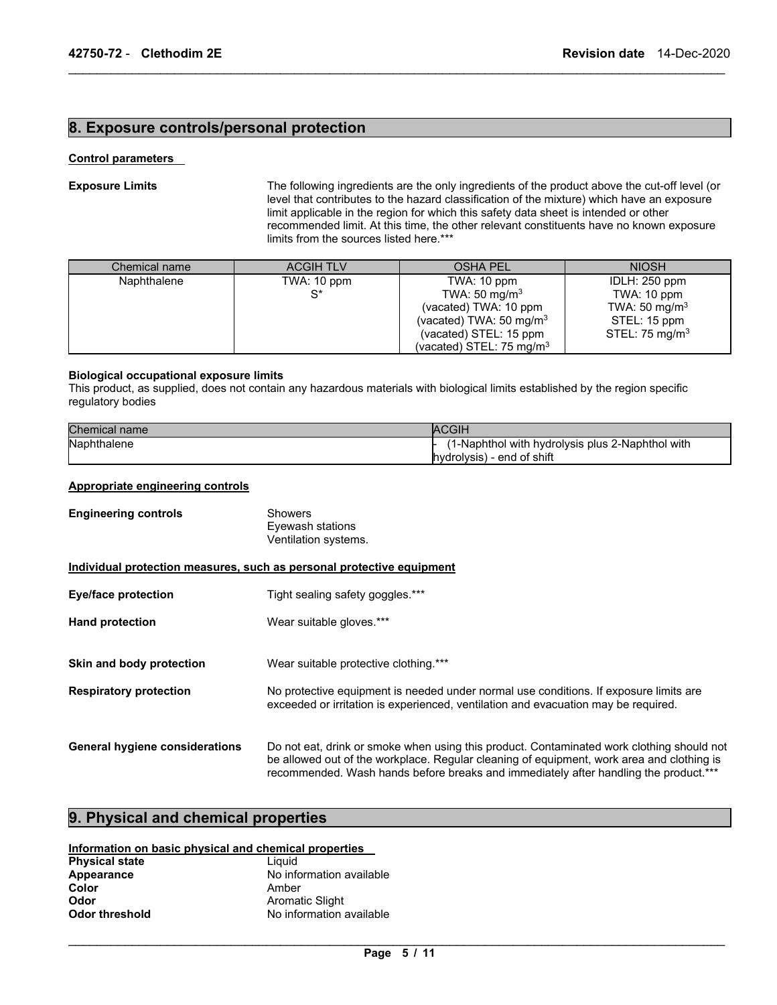## **8. Exposure controls/personal protection**

## **Control parameters**

**Exposure Limits** The following ingredients are the only ingredients of the product above the cut-off level (or level that contributes to the hazard classification of the mixture) which have an exposure limit applicable in the region for which this safety data sheet is intended or other recommended limit. At this time, the other relevant constituents have no known exposure limits from the sources listed here.\*\*\*

| Chemical name | <b>ACGIH TLV</b> | <b>OSHA PEL</b>                      | <b>NIOSH</b>               |
|---------------|------------------|--------------------------------------|----------------------------|
| Naphthalene   | TWA: 10 ppm      | TWA: 10 ppm                          | IDLH: 250 ppm              |
|               | $S^*$            | TWA: 50 mg/m <sup>3</sup>            | TWA: 10 ppm                |
|               |                  | (vacated) TWA: 10 ppm                | TWA: 50 mg/m <sup>3</sup>  |
|               |                  | (vacated) TWA: $50 \text{ mg/m}^3$   | STEL: 15 ppm               |
|               |                  | (vacated) STEL: 15 ppm               | STEL: 75 mg/m <sup>3</sup> |
|               |                  | (vacated) STEL: 75 mg/m <sup>3</sup> |                            |

\_\_\_\_\_\_\_\_\_\_\_\_\_\_\_\_\_\_\_\_\_\_\_\_\_\_\_\_\_\_\_\_\_\_\_\_\_\_\_\_\_\_\_\_\_\_\_\_\_\_\_\_\_\_\_\_\_\_\_\_\_\_\_\_\_\_\_\_\_\_\_\_\_\_\_\_\_\_\_\_\_\_\_\_\_\_\_\_\_\_\_\_\_

## **Biological occupational exposure limits**

This product, as supplied, does not contain any hazardous materials with biological limits established by the region specific regulatory bodies

| Chemical name | <b>ACGIH</b>                                    |
|---------------|-------------------------------------------------|
| Naphthalene   | 1-Naphthol with hydrolysis plus 2-Naphthol with |
|               | hydrolysis) - end of shift                      |

## **Appropriate engineering controls**

| <b>Engineering controls</b>           | Showers<br>Eyewash stations<br>Ventilation systems.                                                                                                                                                                                                                            |
|---------------------------------------|--------------------------------------------------------------------------------------------------------------------------------------------------------------------------------------------------------------------------------------------------------------------------------|
|                                       | Individual protection measures, such as personal protective equipment                                                                                                                                                                                                          |
| Eye/face protection                   | Tight sealing safety goggles.***                                                                                                                                                                                                                                               |
| <b>Hand protection</b>                | Wear suitable gloves.***                                                                                                                                                                                                                                                       |
| Skin and body protection              | Wear suitable protective clothing.***                                                                                                                                                                                                                                          |
| <b>Respiratory protection</b>         | No protective equipment is needed under normal use conditions. If exposure limits are<br>exceeded or irritation is experienced, ventilation and evacuation may be required.                                                                                                    |
| <b>General hygiene considerations</b> | Do not eat, drink or smoke when using this product. Contaminated work clothing should not<br>be allowed out of the workplace. Regular cleaning of equipment, work area and clothing is<br>recommended. Wash hands before breaks and immediately after handling the product.*** |

## **9. Physical and chemical properties**

## **Information on basic physical and chemical properties**

| <b>Physical state</b> | Liauid                   |
|-----------------------|--------------------------|
| Appearance            | No information available |
| Color                 | Amber                    |
| Odor                  | Aromatic Slight          |
| <b>Odor threshold</b> | No information available |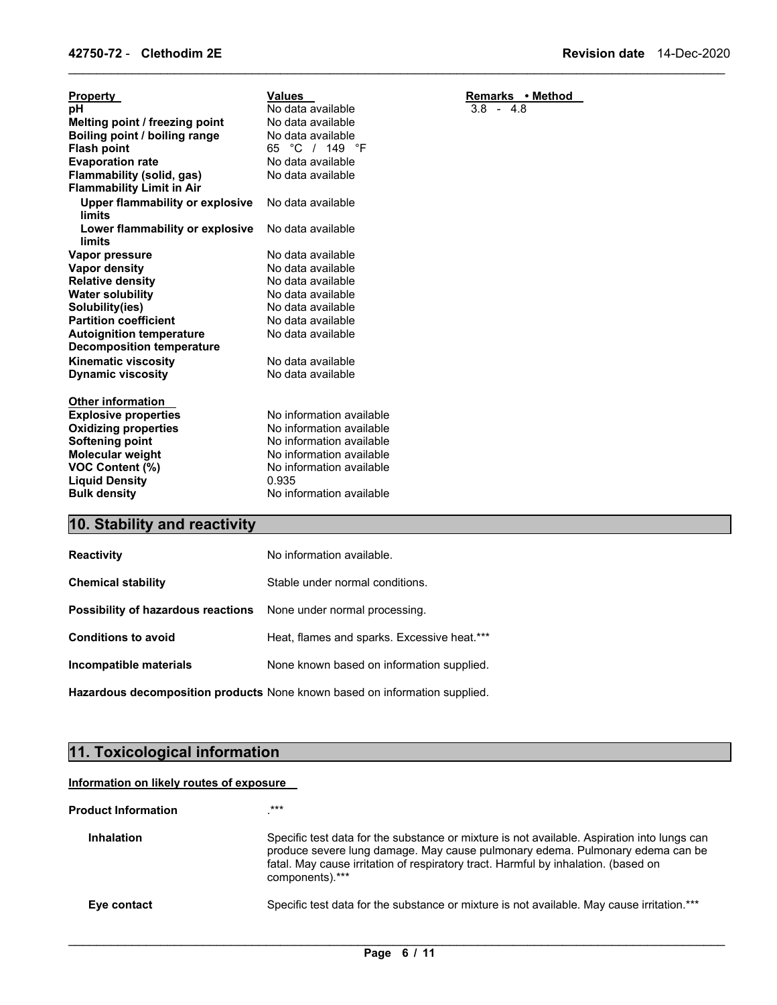| <b>Property</b>                                  | <b>Values</b>            | Remarks • Method |
|--------------------------------------------------|--------------------------|------------------|
| pH                                               | No data available        | $3.8 - 4.8$      |
| Melting point / freezing point                   | No data available        |                  |
| Boiling point / boiling range                    | No data available        |                  |
| <b>Flash point</b>                               | °C / 149<br>°F<br>65     |                  |
| <b>Evaporation rate</b>                          | No data available        |                  |
| <b>Flammability (solid, gas)</b>                 | No data available        |                  |
| <b>Flammability Limit in Air</b>                 |                          |                  |
| <b>Upper flammability or explosive</b><br>limits | No data available        |                  |
|                                                  | No data available        |                  |
| Lower flammability or explosive<br>limits        |                          |                  |
|                                                  | No data available        |                  |
| Vapor pressure<br>Vapor density                  | No data available        |                  |
| <b>Relative density</b>                          | No data available        |                  |
| <b>Water solubility</b>                          | No data available        |                  |
| Solubility(ies)                                  | No data available        |                  |
| <b>Partition coefficient</b>                     | No data available        |                  |
| <b>Autoignition temperature</b>                  | No data available        |                  |
| <b>Decomposition temperature</b>                 |                          |                  |
| <b>Kinematic viscosity</b>                       | No data available        |                  |
| <b>Dynamic viscosity</b>                         | No data available        |                  |
|                                                  |                          |                  |
| <b>Other information</b>                         |                          |                  |
| <b>Explosive properties</b>                      | No information available |                  |
| <b>Oxidizing properties</b>                      | No information available |                  |
| Softening point                                  | No information available |                  |
| <b>Molecular weight</b>                          | No information available |                  |
| <b>VOC Content (%)</b>                           | No information available |                  |
| <b>Liquid Density</b>                            | 0.935                    |                  |
| <b>Bulk density</b>                              | No information available |                  |
|                                                  |                          |                  |
| $04 - L$ $11.4$<br>45. 4.<br>4 A<br>-1.          |                          |                  |

\_\_\_\_\_\_\_\_\_\_\_\_\_\_\_\_\_\_\_\_\_\_\_\_\_\_\_\_\_\_\_\_\_\_\_\_\_\_\_\_\_\_\_\_\_\_\_\_\_\_\_\_\_\_\_\_\_\_\_\_\_\_\_\_\_\_\_\_\_\_\_\_\_\_\_\_\_\_\_\_\_\_\_\_\_\_\_\_\_\_\_\_\_

## **10. Stability and reactivity**

| <b>Reactivity</b>                                                       | No information available.                   |
|-------------------------------------------------------------------------|---------------------------------------------|
| <b>Chemical stability</b>                                               | Stable under normal conditions.             |
| <b>Possibility of hazardous reactions</b> None under normal processing. |                                             |
| <b>Conditions to avoid</b>                                              | Heat, flames and sparks. Excessive heat.*** |
| Incompatible materials                                                  | None known based on information supplied.   |

**Hazardous decomposition products** None known based on information supplied.

## **11. Toxicological information**

## **Information on likely routes of exposure**

| <b>Product Information</b> | ***                                                                                                                                                                                                                                                                                   |
|----------------------------|---------------------------------------------------------------------------------------------------------------------------------------------------------------------------------------------------------------------------------------------------------------------------------------|
| <b>Inhalation</b>          | Specific test data for the substance or mixture is not available. Aspiration into lungs can<br>produce severe lung damage. May cause pulmonary edema. Pulmonary edema can be<br>fatal. May cause irritation of respiratory tract. Harmful by inhalation. (based on<br>components).*** |
| Eye contact                | Specific test data for the substance or mixture is not available. May cause irritation.***                                                                                                                                                                                            |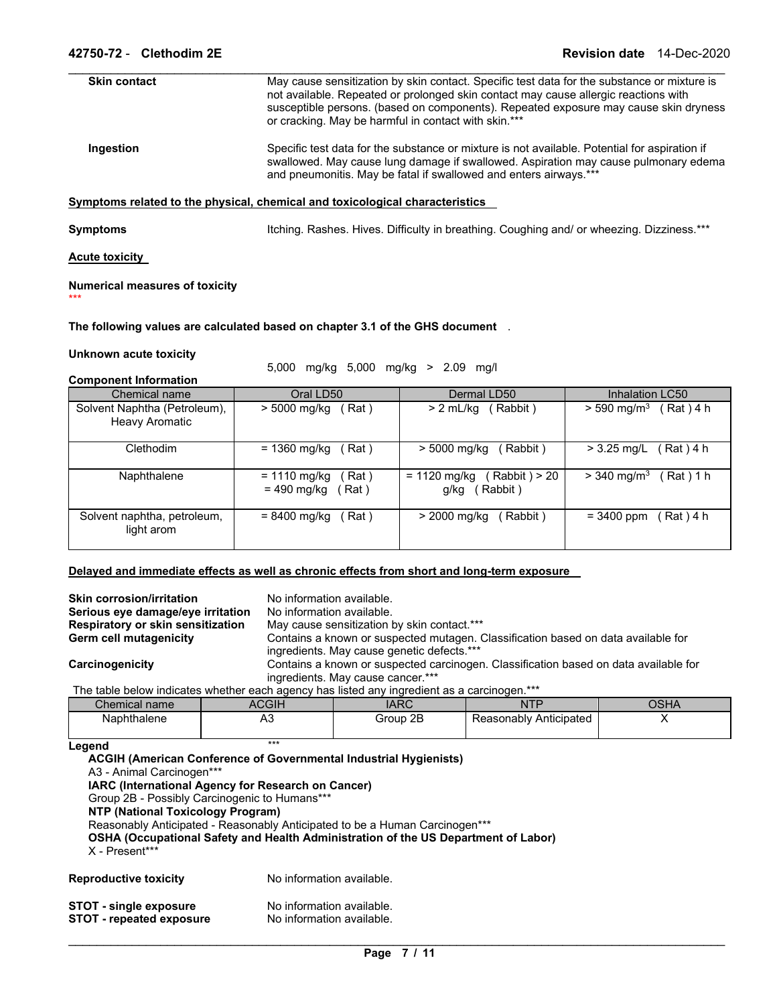| <b>Skin contact</b> | May cause sensitization by skin contact. Specific test data for the substance or mixture is<br>not available. Repeated or prolonged skin contact may cause allergic reactions with<br>susceptible persons. (based on components). Repeated exposure may cause skin dryness<br>or cracking. May be harmful in contact with skin.*** |
|---------------------|------------------------------------------------------------------------------------------------------------------------------------------------------------------------------------------------------------------------------------------------------------------------------------------------------------------------------------|
| Ingestion           | Specific test data for the substance or mixture is not available. Potential for aspiration if<br>swallowed. May cause lung damage if swallowed. Aspiration may cause pulmonary edema<br>and pneumonitis. May be fatal if swallowed and enters airways.***                                                                          |
|                     | Symptoms related to the physical, chemical and toxicological characteristics                                                                                                                                                                                                                                                       |

\_\_\_\_\_\_\_\_\_\_\_\_\_\_\_\_\_\_\_\_\_\_\_\_\_\_\_\_\_\_\_\_\_\_\_\_\_\_\_\_\_\_\_\_\_\_\_\_\_\_\_\_\_\_\_\_\_\_\_\_\_\_\_\_\_\_\_\_\_\_\_\_\_\_\_\_\_\_\_\_\_\_\_\_\_\_\_\_\_\_\_\_\_

**Symptoms I**tching. Rashes. Hives. Difficulty in breathing. Coughing and/ or wheezing. Dizziness.\*\*\*

## **Acute toxicity**

\*\*\*

## **Numerical measures of toxicity**

## **The following values are calculated based on chapter 3.1 of the GHS document** .

## **Unknown acute toxicity**

5,000 mg/kg 5,000 mg/kg > 2.09 mg/l

## **Component Information**

| po<br>Chemical name          | Oral LD50                                      | Dermal LD50                                        | Inhalation LC50                        |
|------------------------------|------------------------------------------------|----------------------------------------------------|----------------------------------------|
| Solvent Naphtha (Petroleum), | > 5000 mg/kg                                   | Rabbit)                                            | Rat ) 4 h                              |
| Heavy Aromatic               | (Rat)                                          | $> 2$ mL/kg                                        | $>$ 590 mg/m <sup>3</sup>              |
| Clethodim                    | = 1360 mg/kg                                   | > 5000 mg/kg                                       | $> 3.25$ mg/L                          |
|                              | Rat)                                           | (Rabbit)                                           | (Rat)4 h                               |
| Naphthalene                  | $= 1110$ mg/kg<br>Rat )<br>= 490 mg/kg<br>Rat) | (Rabbit) > 20<br>$= 1120$ mg/kg<br>Rabbit)<br>g/kg | $> 340$ mg/m <sup>3</sup><br>Rat ) 1 h |
| Solvent naphtha, petroleum,  | Rat)                                           | Rabbit)                                            | Rat ) 4 h                              |
| light arom                   | = 8400 mg/kg                                   | > 2000 mg/kg                                       | $= 3400$ ppm                           |

## **Delayed and immediate effects as well as chronic effects from short and long-term exposure**

| <b>Skin corrosion/irritation</b><br>Serious eye damage/eye irritation<br>Respiratory or skin sensitization |                                   | No information available.<br>No information available.<br>May cause sensitization by skin contact.*** |            |             |
|------------------------------------------------------------------------------------------------------------|-----------------------------------|-------------------------------------------------------------------------------------------------------|------------|-------------|
| Germ cell mutagenicity                                                                                     |                                   | Contains a known or suspected mutagen. Classification based on data available for                     |            |             |
|                                                                                                            |                                   | ingredients. May cause genetic defects.***                                                            |            |             |
| Carcinogenicity                                                                                            |                                   | Contains a known or suspected carcinogen. Classification based on data available for                  |            |             |
|                                                                                                            | ingredients. May cause cancer.*** |                                                                                                       |            |             |
| The table below indicates whether each agency has listed any ingredient as a carcinogen.***                |                                   |                                                                                                       |            |             |
| Chemical name                                                                                              | <b>ACGIH</b>                      | <b>IARC</b>                                                                                           | <b>NTP</b> | <b>OSHA</b> |

| ∴hemical<br>name | .  | IARC                         | NIL                       | $\mathbf{v}$ . The state $\mathbf{v}$<br>⊬רוכי |
|------------------|----|------------------------------|---------------------------|------------------------------------------------|
| Naphthalene      | nυ | 2B<br>Group<br>$\sim$ $\sim$ | Anticipated<br>Reasonably |                                                |

## **Legend** *\*\*\**

| A3 - Animal Carcinogen***<br>Group 2B - Possibly Carcinogenic to Humans***<br><b>NTP (National Toxicology Program)</b><br>X - Present*** | <b>ACGIH (American Conference of Governmental Industrial Hygienists)</b><br>IARC (International Agency for Research on Cancer)<br>Reasonably Anticipated - Reasonably Anticipated to be a Human Carcinogen***<br>OSHA (Occupational Safety and Health Administration of the US Department of Labor) |
|------------------------------------------------------------------------------------------------------------------------------------------|-----------------------------------------------------------------------------------------------------------------------------------------------------------------------------------------------------------------------------------------------------------------------------------------------------|
| <b>Reproductive toxicity</b>                                                                                                             | No information available.                                                                                                                                                                                                                                                                           |
| STOT - single exposure                                                                                                                   | No information available.                                                                                                                                                                                                                                                                           |

**STOT - repeated exposure** No information available.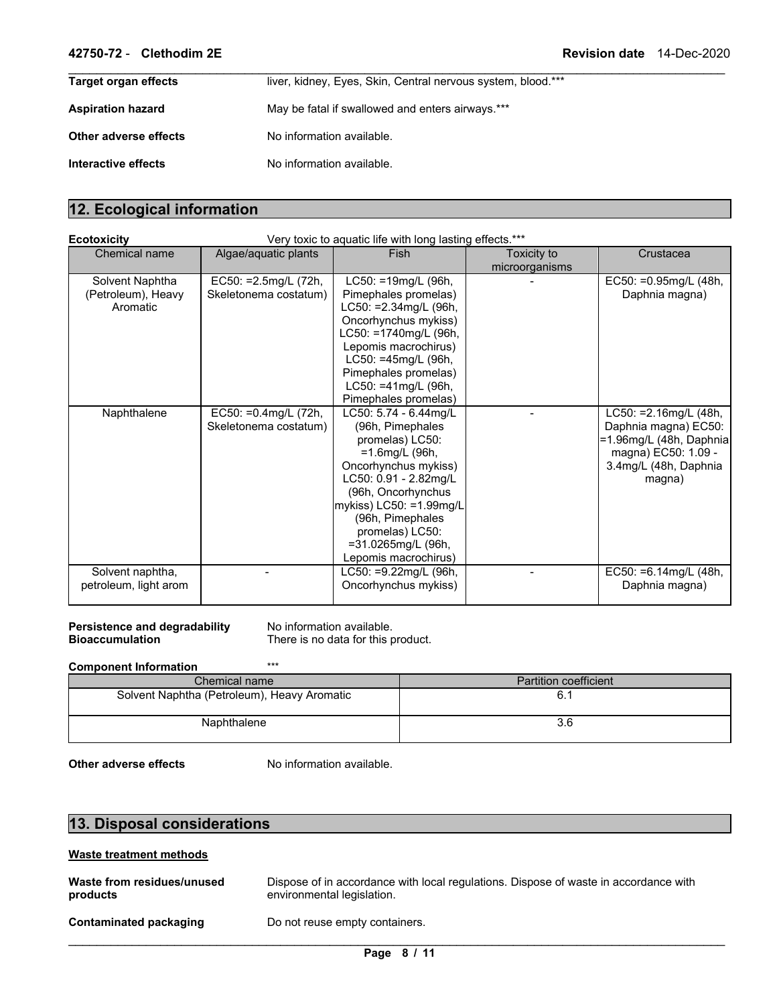| Target organ effects     | liver, kidney, Eyes, Skin, Central nervous system, blood.*** |
|--------------------------|--------------------------------------------------------------|
| <b>Aspiration hazard</b> | May be fatal if swallowed and enters airways.***             |
| Other adverse effects    | No information available.                                    |
| Interactive effects      | No information available.                                    |

## **12. Ecological information**

| <b>Ecotoxicity</b>    |                         | Very toxic to aquatic life with long lasting effects.*** |                |                          |
|-----------------------|-------------------------|----------------------------------------------------------|----------------|--------------------------|
| Chemical name         | Algae/aguatic plants    | Fish                                                     | Toxicity to    | Crustacea                |
|                       |                         |                                                          | microorganisms |                          |
| Solvent Naphtha       | EC50: = 2.5mg/L (72h,   | LC50: =19mg/L (96h,                                      |                | EC50: = 0.95mg/L (48h,   |
| (Petroleum), Heavy    | Skeletonema costatum)   | Pimephales promelas)                                     |                | Daphnia magna)           |
| Aromatic              |                         | LC50: = 2.34mg/L (96h,                                   |                |                          |
|                       |                         | Oncorhynchus mykiss)                                     |                |                          |
|                       |                         | LC50: =1740mg/L (96h,                                    |                |                          |
|                       |                         | Lepomis macrochirus)                                     |                |                          |
|                       |                         | LC50: =45mg/L (96h,                                      |                |                          |
|                       |                         | Pimephales promelas)                                     |                |                          |
|                       |                         | LC50: =41mg/L (96h,                                      |                |                          |
|                       |                         | Pimephales promelas)                                     |                |                          |
| Naphthalene           | EC50: $=0.4$ mg/L (72h, | LC50: 5.74 - 6.44mg/L                                    |                | $LC50: =2.16$ mg/L (48h, |
|                       | Skeletonema costatum)   | (96h, Pimephales                                         |                | Daphnia magna) EC50:     |
|                       |                         | promelas) LC50:                                          |                | =1.96mg/L (48h, Daphnia  |
|                       |                         | $=1.6$ mg/L (96h,                                        |                | magna) EC50: 1.09 -      |
|                       |                         | Oncorhynchus mykiss)                                     |                | 3.4mg/L (48h, Daphnia    |
|                       |                         | LC50: 0.91 - 2.82mg/L                                    |                | magna)                   |
|                       |                         | (96h, Oncorhynchus                                       |                |                          |
|                       |                         | mykiss) LC50: =1.99mg/L                                  |                |                          |
|                       |                         | (96h, Pimephales                                         |                |                          |
|                       |                         | promelas) LC50:                                          |                |                          |
|                       |                         | =31.0265mg/L (96h,                                       |                |                          |
|                       |                         | Lepomis macrochirus)                                     |                |                          |
| Solvent naphtha,      |                         | LC50: =9.22mg/L (96h,                                    |                | EC50: $=6.14$ mg/L (48h, |
| petroleum, light arom |                         | Oncorhynchus mykiss)                                     |                | Daphnia magna)           |
|                       |                         |                                                          |                |                          |

**Persistence and degradability** No information available. **Bioaccumulation** There is no data for this product.

## **Component Information** \*\*\*

| Chemical name                               | <b>Partition coefficient</b> |
|---------------------------------------------|------------------------------|
| Solvent Naphtha (Petroleum), Heavy Aromatic |                              |
| Naphthalene                                 | 3.b                          |

**Other adverse effects** No information available.

## **13. Disposal considerations**

## **Waste treatment methods**

| Waste from residues/unused | Dispose of in accordance with local regulations. Dispose of waste in accordance with |
|----------------------------|--------------------------------------------------------------------------------------|
| products                   | environmental legislation.                                                           |
| Contaminated packaging     | Do not reuse empty containers.                                                       |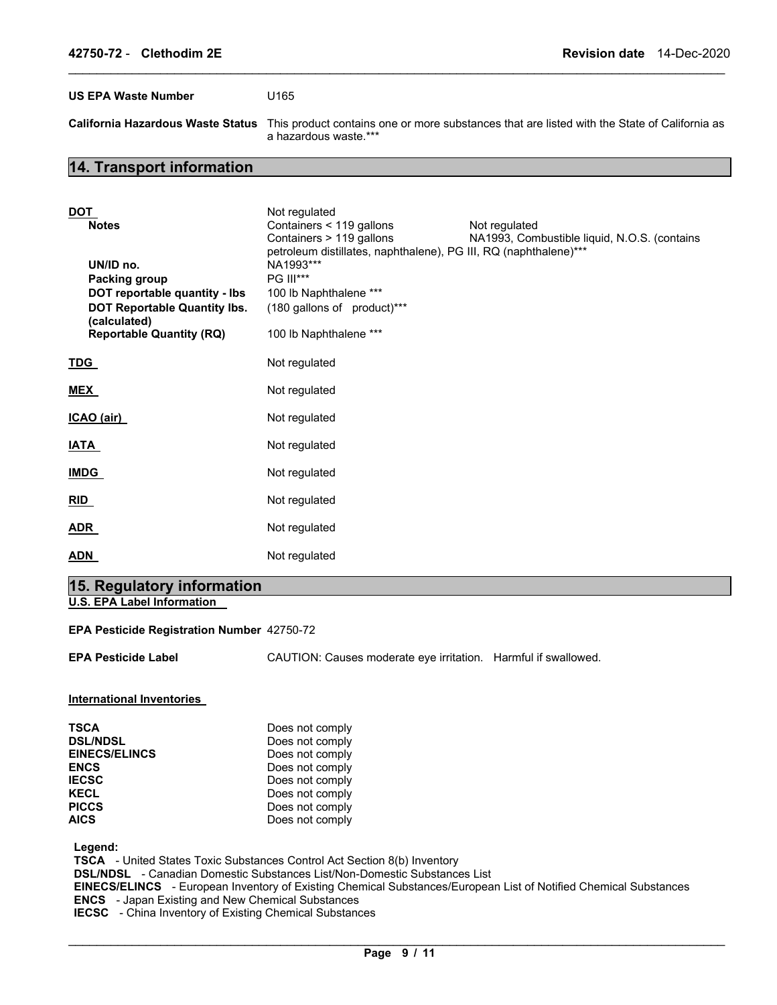**US EPA Waste Number** U165

**California Hazardous Waste Status** This product contains one or more substances that are listed with the State of California as a hazardous waste.\*\*\*

## **14. Transport information**

| <b>DOT</b><br><b>Notes</b><br>UN/ID no.<br><b>Packing group</b><br>DOT reportable quantity - Ibs<br>DOT Reportable Quantity Ibs.<br>(calculated)<br><b>Reportable Quantity (RQ)</b> | Not regulated<br>Containers < 119 gallons<br>Containers > 119 gallons<br>petroleum distillates, naphthalene), PG III, RQ (naphthalene)***<br>NA1993***<br><b>PG III***</b><br>100 lb Naphthalene ***<br>(180 gallons of product)***<br>100 lb Naphthalene *** | Not regulated<br>NA1993, Combustible liquid, N.O.S. (contains |
|-------------------------------------------------------------------------------------------------------------------------------------------------------------------------------------|---------------------------------------------------------------------------------------------------------------------------------------------------------------------------------------------------------------------------------------------------------------|---------------------------------------------------------------|
| <u>TDG_</u>                                                                                                                                                                         | Not regulated                                                                                                                                                                                                                                                 |                                                               |
| <b>MEX</b>                                                                                                                                                                          | Not regulated                                                                                                                                                                                                                                                 |                                                               |
| ICAO (air)                                                                                                                                                                          | Not regulated                                                                                                                                                                                                                                                 |                                                               |
| <u>IATA</u>                                                                                                                                                                         | Not regulated                                                                                                                                                                                                                                                 |                                                               |
| <b>IMDG</b>                                                                                                                                                                         | Not regulated                                                                                                                                                                                                                                                 |                                                               |
| RID                                                                                                                                                                                 | Not regulated                                                                                                                                                                                                                                                 |                                                               |
| <b>ADR</b>                                                                                                                                                                          | Not regulated                                                                                                                                                                                                                                                 |                                                               |
| <b>ADN</b>                                                                                                                                                                          | Not regulated                                                                                                                                                                                                                                                 |                                                               |

\_\_\_\_\_\_\_\_\_\_\_\_\_\_\_\_\_\_\_\_\_\_\_\_\_\_\_\_\_\_\_\_\_\_\_\_\_\_\_\_\_\_\_\_\_\_\_\_\_\_\_\_\_\_\_\_\_\_\_\_\_\_\_\_\_\_\_\_\_\_\_\_\_\_\_\_\_\_\_\_\_\_\_\_\_\_\_\_\_\_\_\_\_

## **15. Regulatory information**

**U.S. EPA Label Information** 

#### **EPA Pesticide Registration Number** 42750-72

**EPA Pesticide Label** CAUTION: Causes moderate eye irritation. Harmful if swallowed.

**International Inventories** 

| Does not comply |
|-----------------|
| Does not comply |
| Does not comply |
| Does not comply |
| Does not comply |
| Does not comply |
| Does not comply |
| Does not comply |
|                 |

**Legend:** 

**TSCA** - United States Toxic Substances Control Act Section 8(b) Inventory

**DSL/NDSL** - Canadian Domestic Substances List/Non-Domestic Substances List

**EINECS/ELINCS** - European Inventory of Existing Chemical Substances/European List of Notified Chemical Substances **ENCS** - Japan Existing and New Chemical Substances **IECSC** - China Inventory of Existing Chemical Substances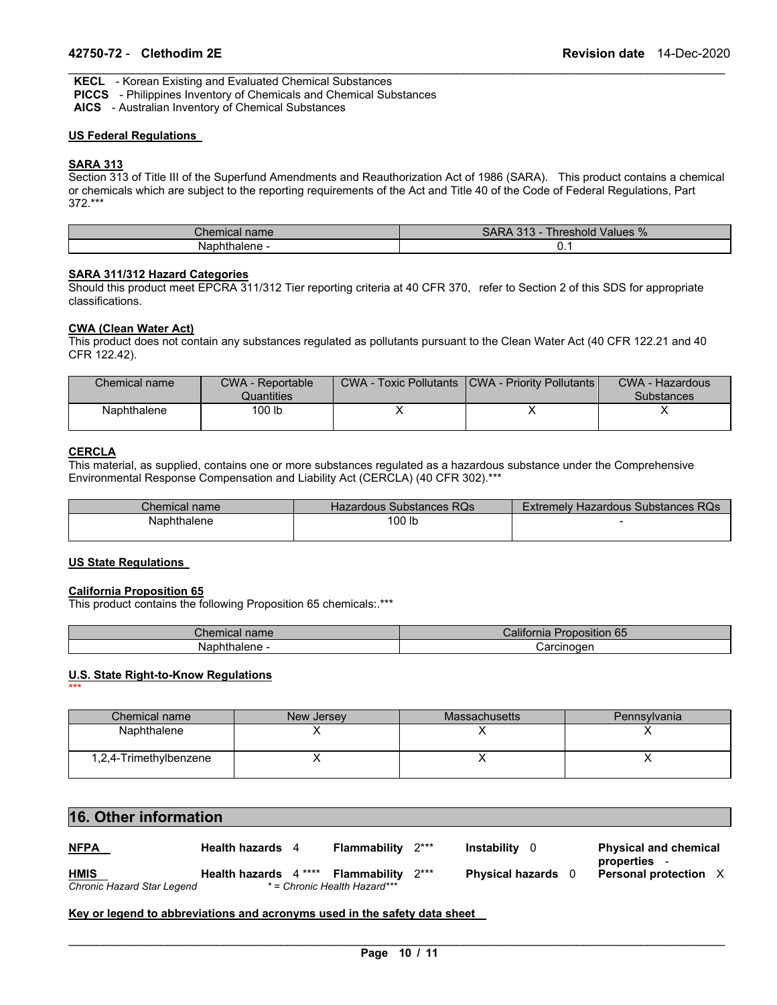**KECL** - Korean Existing and Evaluated Chemical Substances

**PICCS** - Philippines Inventory of Chemicals and Chemical Substances

**AICS** - Australian Inventory of Chemical Substances

## **US Federal Regulations**

## **SARA 313**

Section 313 of Title III of the Superfund Amendments and Reauthorization Act of 1986 (SARA). This product contains a chemical or chemicals which are subject to the reporting requirements of the Act and Title 40 of the Code of Federal Regulations, Part 372.\*\*\*

\_\_\_\_\_\_\_\_\_\_\_\_\_\_\_\_\_\_\_\_\_\_\_\_\_\_\_\_\_\_\_\_\_\_\_\_\_\_\_\_\_\_\_\_\_\_\_\_\_\_\_\_\_\_\_\_\_\_\_\_\_\_\_\_\_\_\_\_\_\_\_\_\_\_\_\_\_\_\_\_\_\_\_\_\_\_\_\_\_\_\_\_\_

| Chemical name  | <b>SARA</b><br>040<br>Values %<br>l hreshold.<br>- د ۱ د |
|----------------|----------------------------------------------------------|
| Nź<br>- naiene | ◡. ៲                                                     |

## **SARA 311/312 Hazard Categories**

Should this product meet EPCRA 311/312 Tier reporting criteria at 40 CFR 370, refer to Section 2 of this SDS for appropriate classifications.

## **CWA (Clean Water Act)**

This product does not contain any substances regulated as pollutants pursuant to the Clean Water Act (40 CFR 122.21 and 40 CFR 122.42).

| Chemical name | <b>CWA - Reportable</b><br>Quantities | <b>CWA - Toxic Pollutants   CWA - Priority Pollutants  </b> | CWA - Hazardous<br><b>Substances</b> |
|---------------|---------------------------------------|-------------------------------------------------------------|--------------------------------------|
| Naphthalene   | 100 lb                                |                                                             |                                      |

## **CERCLA**

\*\*\*

This material, as supplied, contains one or more substances regulated as a hazardous substance under the Comprehensive Environmental Response Compensation and Liability Act (CERCLA) (40 CFR 302).\*\*\*

| Chemical name l | Hazardous Substances RQs | Extremely Hazardous Substances RQs |
|-----------------|--------------------------|------------------------------------|
| Naphthalene     | <sup>1</sup> 00 lb       |                                    |
|                 |                          |                                    |

#### **US State Regulations**

#### **California Proposition 65**

This product contains the following Proposition 65 chemicals:.\*\*\*

| $\sim$<br>$\mathsf{\sim}$ nemical name   | <b>SAF</b><br><br><i>J</i> alifor<br><b>Proposition 65</b> |
|------------------------------------------|------------------------------------------------------------|
| <b>Nanhtholer</b><br>Naphtr<br>. alene - | Carcinoder                                                 |

## **U.S. State Right-to-Know Regulations**

| Chemical name          | New Jersey | <b>Massachusetts</b> | Pennsylvania |
|------------------------|------------|----------------------|--------------|
| Naphthalene            |            |                      |              |
| 1,2,4-Trimethylbenzene |            |                      |              |

## **16. Other information**

| <u>NFPA</u>                | Health hazards 4      | <b>Flammability</b> $2***$  |        | <b>Instability</b> 0    | <b>Physical and chemical</b><br>properties - |  |
|----------------------------|-----------------------|-----------------------------|--------|-------------------------|----------------------------------------------|--|
| <b>HMIS</b>                | Health hazards 4 **** | Flammability                | $2***$ | <b>Physical hazards</b> | <b>Personal protection X</b>                 |  |
| Chronic Hazard Star Legend |                       | *= Chronic Health Hazard*** |        |                         |                                              |  |

### **Key or legend to abbreviations and acronyms used in the safety data sheet**